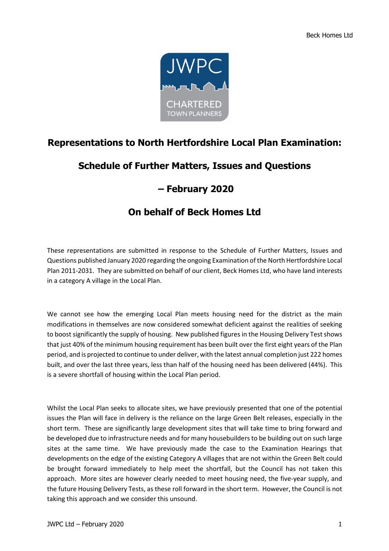

## **Representations to North Hertfordshire Local Plan Examination:**

## **Schedule of Further Matters, Issues and Questions**

## **– February 2020**

## **On behalf of Beck Homes Ltd**

These representations are submitted in response to the Schedule of Further Matters, Issues and Questions published January 2020 regarding the ongoing Examination of the North Hertfordshire Local Plan 2011-2031. They are submitted on behalf of our client, Beck Homes Ltd, who have land interests in a category A village in the Local Plan.

We cannot see how the emerging Local Plan meets housing need for the district as the main modifications in themselves are now considered somewhat deficient against the realities of seeking to boost significantly the supply of housing. New published figures in the Housing Delivery Test shows that just 40% of the minimum housing requirement has been built over the first eight years of the Plan period, and is projected to continue to under deliver, with the latest annual completion just 222 homes built, and over the last three years, less than half of the housing need has been delivered (44%). This is a severe shortfall of housing within the Local Plan period.

Whilst the Local Plan seeks to allocate sites, we have previously presented that one of the potential issues the Plan will face in delivery is the reliance on the large Green Belt releases, especially in the short term. These are significantly large development sites that will take time to bring forward and be developed due to infrastructure needs and for many housebuilders to be building out on such large sites at the same time. We have previously made the case to the Examination Hearings that developments on the edge of the existing Category A villages that are not within the Green Belt could be brought forward immediately to help meet the shortfall, but the Council has not taken this approach. More sites are however clearly needed to meet housing need, the five-year supply, and the future Housing Delivery Tests, as these roll forward in the short term. However, the Council is not taking this approach and we consider this unsound.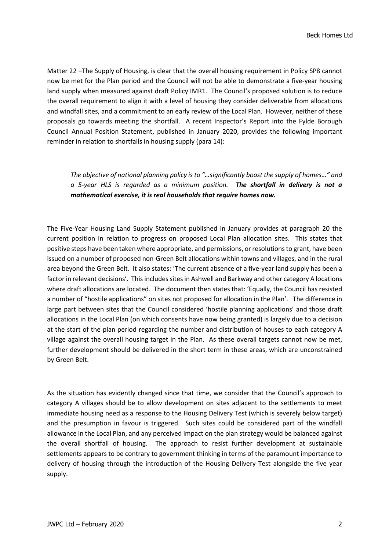Matter 22 –The Supply of Housing, is clear that the overall housing requirement in Policy SP8 cannot now be met for the Plan period and the Council will not be able to demonstrate a five-year housing land supply when measured against draft Policy IMR1. The Council's proposed solution is to reduce the overall requirement to align it with a level of housing they consider deliverable from allocations and windfall sites, and a commitment to an early review of the Local Plan. However, neither of these proposals go towards meeting the shortfall. A recent Inspector's Report into the Fylde Borough Council Annual Position Statement, published in January 2020, provides the following important reminder in relation to shortfalls in housing supply (para 14):

*The objective of national planning policy is to "…significantly boost the supply of homes…" and a 5-year HLS is regarded as a minimum position. The shortfall in delivery is not a mathematical exercise, it is real households that require homes now.* 

The Five-Year Housing Land Supply Statement published in January provides at paragraph 20 the current position in relation to progress on proposed Local Plan allocation sites. This states that positive steps have been taken where appropriate, and permissions, or resolutions to grant, have been issued on a number of proposed non-Green Belt allocations within towns and villages, and in the rural area beyond the Green Belt. It also states: 'The current absence of a five-year land supply has been a factor in relevant decisions'. This includes sites in Ashwell and Barkway and other category A locations where draft allocations are located. The document then states that: 'Equally, the Council has resisted a number of "hostile applications" on sites not proposed for allocation in the Plan'. The difference in large part between sites that the Council considered 'hostile planning applications' and those draft allocations in the Local Plan (on which consents have now being granted) is largely due to a decision at the start of the plan period regarding the number and distribution of houses to each category A village against the overall housing target in the Plan. As these overall targets cannot now be met, further development should be delivered in the short term in these areas, which are unconstrained by Green Belt.

As the situation has evidently changed since that time, we consider that the Council's approach to category A villages should be to allow development on sites adjacent to the settlements to meet immediate housing need as a response to the Housing Delivery Test (which is severely below target) and the presumption in favour is triggered. Such sites could be considered part of the windfall allowance in the Local Plan, and any perceived impact on the plan strategy would be balanced against the overall shortfall of housing. The approach to resist further development at sustainable settlements appears to be contrary to government thinking in terms of the paramount importance to delivery of housing through the introduction of the Housing Delivery Test alongside the five year supply.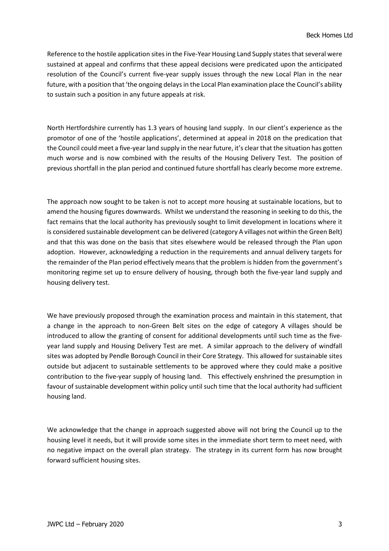Reference to the hostile application sites in the Five-Year Housing Land Supply states that several were sustained at appeal and confirms that these appeal decisions were predicated upon the anticipated resolution of the Council's current five-year supply issues through the new Local Plan in the near future, with a position that 'the ongoing delays in the Local Plan examination place the Council's ability to sustain such a position in any future appeals at risk.

North Hertfordshire currently has 1.3 years of housing land supply. In our client's experience as the promotor of one of the 'hostile applications', determined at appeal in 2018 on the predication that the Council could meet a five-year land supply in the near future, it's clear that the situation has gotten much worse and is now combined with the results of the Housing Delivery Test. The position of previous shortfall in the plan period and continued future shortfall has clearly become more extreme.

The approach now sought to be taken is not to accept more housing at sustainable locations, but to amend the housing figures downwards. Whilst we understand the reasoning in seeking to do this, the fact remains that the local authority has previously sought to limit development in locations where it is considered sustainable development can be delivered (category A villages not within the Green Belt) and that this was done on the basis that sites elsewhere would be released through the Plan upon adoption. However, acknowledging a reduction in the requirements and annual delivery targets for the remainder of the Plan period effectively means that the problem is hidden from the government's monitoring regime set up to ensure delivery of housing, through both the five-year land supply and housing delivery test.

We have previously proposed through the examination process and maintain in this statement, that a change in the approach to non-Green Belt sites on the edge of category A villages should be introduced to allow the granting of consent for additional developments until such time as the fiveyear land supply and Housing Delivery Test are met. A similar approach to the delivery of windfall sites was adopted by Pendle Borough Council in their Core Strategy. This allowed for sustainable sites outside but adjacent to sustainable settlements to be approved where they could make a positive contribution to the five-year supply of housing land. This effectively enshrined the presumption in favour of sustainable development within policy until such time that the local authority had sufficient housing land.

We acknowledge that the change in approach suggested above will not bring the Council up to the housing level it needs, but it will provide some sites in the immediate short term to meet need, with no negative impact on the overall plan strategy. The strategy in its current form has now brought forward sufficient housing sites.